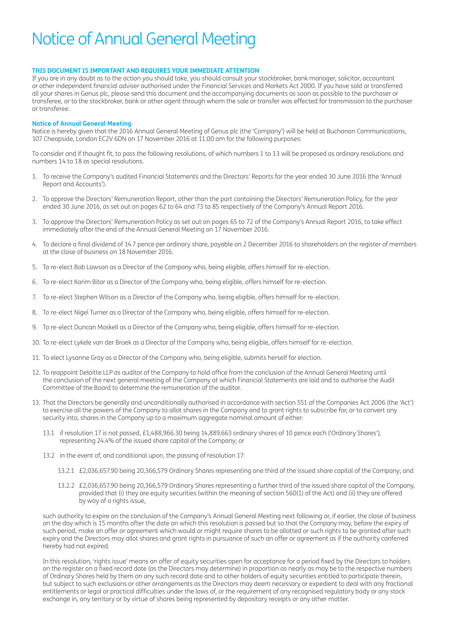# Notice of Annual General Meeting

## **THIS DOCUMENT IS IMPORTANT AND REQUIRES YOUR IMMEDIATE ATTENTION**

If you are in any doubt as to the action you should take, you should consult your stockbroker, bank manager, solicitor, accountant or other independent financial adviser authorised under the Financial Services and Markets Act 2000. If you have sold or transferred all your shares in Genus plc, please send this document and the accompanying documents as soon as possible to the purchaser or transferee, or to the stockbroker, bank or other agent through whom the sale or transfer was effected for transmission to the purchaser or transferee.

## **Notice of Annual General Meeting**

Notice is hereby given that the 2016 Annual General Meeting of Genus plc (the 'Company') will be held at Buchanan Communications, 107 Cheapside, London EC2V 6DN on 17 November 2016 at 11.00 am for the following purposes:

To consider and if thought fit, to pass the following resolutions, of which numbers 1 to 13 will be proposed as ordinary resolutions and numbers 14 to 18 as special resolutions.

- 1. To receive the Company's audited Financial Statements and the Directors' Reports for the year ended 30 June 2016 (the 'Annual Report and Accounts').
- 2. To approve the Directors' Remuneration Report, other than the part containing the Directors' Remuneration Policy, for the year ended 30 June 2016, as set out on pages 62 to 64 and 73 to 85 respectively of the Company's Annual Report 2016.
- 3. To approve the Directors' Remuneration Policy as set out on pages 65 to 72 of the Company's Annual Report 2016, to take effect immediately after the end of the Annual General Meeting on 17 November 2016.
- 4. To declare a final dividend of 14.7 pence per ordinary share, payable on 2 December 2016 to shareholders on the register of members at the close of business on 18 November 2016.
- 5. To re-elect Bob Lawson as a Director of the Company who, being eligible, offers himself for re-election.
- 6. To re-elect Karim Bitar as a Director of the Company who, being eligible, offers himself for re-election.
- 7. To re-elect Stephen Wilson as a Director of the Company who, being eligible, offers himself for re-election.
- 8. To re-elect Nigel Turner as a Director of the Company who, being eligible, offers himself for re-election.
- 9. To re-elect Duncan Maskell as a Director of the Company who, being eligible, offers himself for re-election.
- 10. To re-elect Lykele van der Broek as a Director of the Company who, being eligible, offers himself for re-election.
- 11. To elect Lysanne Gray as a Director of the Company who, being eligible, submits herself for election.
- 12. To reappoint Deloitte LLP as auditor of the Company to hold office from the conclusion of the Annual General Meeting until the conclusion of the next general meeting of the Company at which Financial Statements are laid and to authorise the Audit Committee of the Board to determine the remuneration of the auditor.
- 13. That the Directors be generally and unconditionally authorised in accordance with section 551 of the Companies Act 2006 (the 'Act') to exercise all the powers of the Company to allot shares in the Company and to grant rights to subscribe for, or to convert any security into, shares in the Company up to a maximum aggregate nominal amount of either:
	- 13.1 if resolution 17 is not passed, £1,488,966.30 being 14,889,663 ordinary shares of 10 pence each ('Ordinary Shares'), representing 24.4% of the issued share capital of the Company; or
	- 13.2 in the event of, and conditional upon, the passing of resolution 17:
		- 13.2.1 £2,036,657.90 being 20,366,579 Ordinary Shares representing one third of the issued share capital of the Company; and
		- 13.2.2 £2,036,657.90 being 20,366,579 Ordinary Shares representing a further third of the issued share capital of the Company, provided that (i) they are equity securities (within the meaning of section 560(1) of the Act) and (ii) they are offered by way of a rights issue,

such authority to expire on the conclusion of the Company's Annual General Meeting next following or, if earlier, the close of business on the day which is 15 months after the date on which this resolution is passed but so that the Company may, before the expiry of such period, make an offer or agreement which would or might require shares to be allotted or such rights to be granted after such expiry and the Directors may allot shares and grant rights in pursuance of such an offer or agreement as if the authority conferred hereby had not expired.

In this resolution, 'rights issue' means an offer of equity securities open for acceptance for a period fixed by the Directors to holders on the register on a fixed record date (as the Directors may determine) in proportion as nearly as may be to the respective numbers of Ordinary Shares held by them on any such record date and to other holders of equity securities entitled to participate therein, but subject to such exclusions or other arrangements as the Directors may deem necessary or expedient to deal with any fractional entitlements or legal or practical difficulties under the laws of, or the requirement of any recognised regulatory body or any stock exchange in, any territory or by virtue of shares being represented by depositary receipts or any other matter.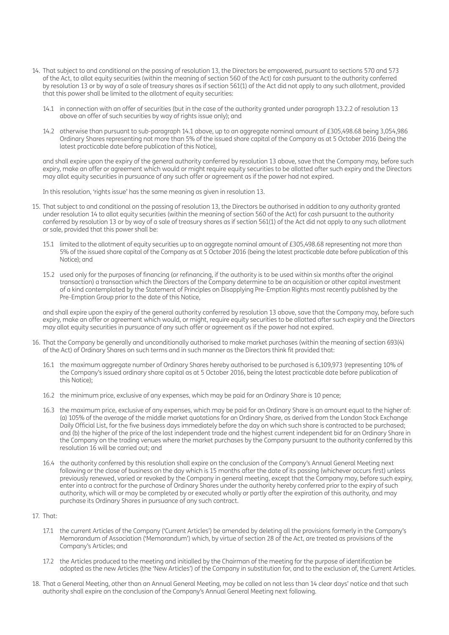- 14. That subject to and conditional on the passing of resolution 13, the Directors be empowered, pursuant to sections 570 and 573 of the Act, to allot equity securities (within the meaning of section 560 of the Act) for cash pursuant to the authority conferred by resolution 13 or by way of a sale of treasury shares as if section 561(1) of the Act did not apply to any such allotment, provided that this power shall be limited to the allotment of equity securities:
	- 14.1 in connection with an offer of securities (but in the case of the authority granted under paragraph 13.2.2 of resolution 13 above an offer of such securities by way of rights issue only); and
	- 14.2 otherwise than pursuant to sub-paragraph 14.1 above, up to an aggregate nominal amount of £305,498.68 being 3,054,986 Ordinary Shares representing not more than 5% of the issued share capital of the Company as at 5 October 2016 (being the latest practicable date before publication of this Notice),

and shall expire upon the expiry of the general authority conferred by resolution 13 above, save that the Company may, before such expiry, make an offer or agreement which would or might require equity securities to be allotted after such expiry and the Directors may allot equity securities in pursuance of any such offer or agreement as if the power had not expired.

In this resolution, 'rights issue' has the same meaning as given in resolution 13.

- 15. That subject to and conditional on the passing of resolution 13, the Directors be authorised in addition to any authority granted under resolution 14 to allot equity securities (within the meaning of section 560 of the Act) for cash pursuant to the authority conferred by resolution 13 or by way of a sale of treasury shares as if section 561(1) of the Act did not apply to any such allotment or sale, provided that this power shall be:
	- 15.1 limited to the allotment of equity securities up to an aggregate nominal amount of £305.498.68 representing not more than 5% of the issued share capital of the Company as at 5 October 2016 (being the latest practicable date before publication of this Notice); and
	- 15.2 used only for the purposes of financing (or refinancing, if the authority is to be used within six months after the original transaction) a transaction which the Directors of the Company determine to be an acquisition or other capital investment of a kind contemplated by the Statement of Principles on Disapplying Pre-Emption Rights most recently published by the Pre-Emption Group prior to the date of this Notice,

and shall expire upon the expiry of the general authority conferred by resolution 13 above, save that the Company may, before such expiry, make an offer or agreement which would, or might, require equity securities to be allotted after such expiry and the Directors may allot equity securities in pursuance of any such offer or agreement as if the power had not expired.

- 16. That the Company be generally and unconditionally authorised to make market purchases (within the meaning of section 693(4) of the Act) of Ordinary Shares on such terms and in such manner as the Directors think fit provided that:
	- 16.1 the maximum aggregate number of Ordinary Shares hereby authorised to be purchased is 6,109,973 (representing 10% of the Company's issued ordinary share capital as at 5 October 2016, being the latest practicable date before publication of this Notice);
	- 16.2 the minimum price, exclusive of any expenses, which may be paid for an Ordinary Share is 10 pence;
	- 16.3 the maximum price, exclusive of any expenses, which may be paid for an Ordinary Share is an amount equal to the higher of: (a) 105% of the average of the middle market quotations for an Ordinary Share, as derived from the London Stock Exchange Daily Official List, for the five business days immediately before the day on which such share is contracted to be purchased; and (b) the higher of the price of the last independent trade and the highest current independent bid for an Ordinary Share in the Company on the trading venues where the market purchases by the Company pursuant to the authority conferred by this resolution 16 will be carried out; and
	- 16.4 the authority conferred by this resolution shall expire on the conclusion of the Company's Annual General Meeting next following or the close of business on the day which is 15 months after the date of its passing (whichever occurs first) unless previously renewed, varied or revoked by the Company in general meeting, except that the Company may, before such expiry, enter into a contract for the purchase of Ordinary Shares under the authority hereby conferred prior to the expiry of such authority, which will or may be completed by or executed wholly or partly after the expiration of this authority, and may purchase its Ordinary Shares in pursuance of any such contract.
- 17. That:
	- 17.1 the current Articles of the Company ('Current Articles') be amended by deleting all the provisions formerly in the Company's Memorandum of Association ('Memorandum') which, by virtue of section 28 of the Act, are treated as provisions of the Company's Articles; and
	- 17.2 the Articles produced to the meeting and initialled by the Chairman of the meeting for the purpose of identification be adopted as the new Articles (the 'New Articles') of the Company in substitution for, and to the exclusion of, the Current Articles.
- 18. That a General Meeting, other than an Annual General Meeting, may be called on not less than 14 clear days' notice and that such authority shall expire on the conclusion of the Company's Annual General Meeting next following.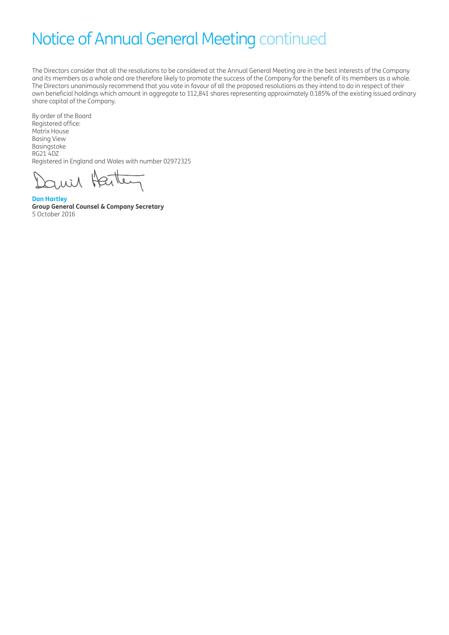The Directors consider that all the resolutions to be considered at the Annual General Meeting are in the best interests of the Company and its members as a whole and are therefore likely to promote the success of the Company for the benefit of its members as a whole. The Directors unanimously recommend that you vote in favour of all the proposed resolutions as they intend to do in respect of their own beneficial holdings which amount in aggregate to 112,841 shares representing approximately 0.185% of the existing issued ordinary share capital of the Company.

By order of the Board Registered office: Matrix House Basing View Basingstoke RG21 4DZ Registered in England and Wales with number 02972325

auer Harte

**Dan Hartley Group General Counsel & Company Secretary**  5 October 2016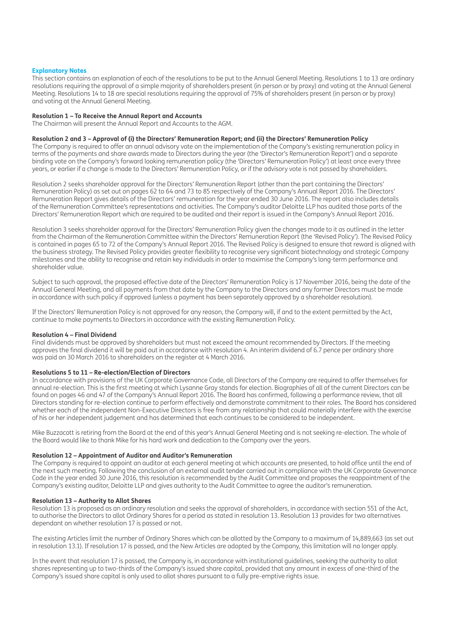## **Explanatory Notes**

This section contains an explanation of each of the resolutions to be put to the Annual General Meeting. Resolutions 1 to 13 are ordinary resolutions requiring the approval of a simple majority of shareholders present (in person or by proxy) and voting at the Annual General Meeting. Resolutions 14 to 18 are special resolutions requiring the approval of 75% of shareholders present (in person or by proxy) and voting at the Annual General Meeting.

### **Resolution 1 – To Receive the Annual Report and Accounts**

The Chairman will present the Annual Report and Accounts to the AGM.

## **Resolution 2 and 3 – Approval of (i) the Directors' Remuneration Report; and (ii) the Directors' Remuneration Policy**

The Company is required to offer an annual advisory vote on the implementation of the Company's existing remuneration policy in terms of the payments and share awards made to Directors during the year (the 'Director's Remuneration Report') and a separate binding vote on the Company's forward looking remuneration policy (the 'Directors' Remuneration Policy') at least once every three years, or earlier if a change is made to the Directors' Remuneration Policy, or if the advisory vote is not passed by shareholders.

Resolution 2 seeks shareholder approval for the Directors' Remuneration Report (other than the part containing the Directors' Remuneration Policy) as set out on pages 62 to 64 and 73 to 85 respectively of the Company's Annual Report 2016. The Directors' Remuneration Report gives details of the Directors' remuneration for the year ended 30 June 2016. The report also includes details of the Remuneration Committee's representations and activities. The Company's auditor Deloitte LLP has audited those parts of the Directors' Remuneration Report which are required to be audited and their report is issued in the Company's Annual Report 2016.

Resolution 3 seeks shareholder approval for the Directors' Remuneration Policy given the changes made to it as outlined in the letter from the Chairman of the Remuneration Committee within the Directors' Remuneration Report (the 'Revised Policy'). The Revised Policy is contained in pages 65 to 72 of the Company's Annual Report 2016. The Revised Policy is designed to ensure that reward is aligned with the business strategy. The Revised Policy provides greater flexibility to recognise very significant biotechnology and strategic Company milestones and the ability to recognise and retain key individuals in order to maximise the Company's long-term performance and shareholder value.

Subject to such approval, the proposed effective date of the Directors' Remuneration Policy is 17 November 2016, being the date of the Annual General Meeting, and all payments from that date by the Company to the Directors and any former Directors must be made in accordance with such policy if approved (unless a payment has been separately approved by a shareholder resolution).

If the Directors' Remuneration Policy is not approved for any reason, the Company will, if and to the extent permitted by the Act, continue to make payments to Directors in accordance with the existing Remuneration Policy.

#### **Resolution 4 – Final Dividend**

Final dividends must be approved by shareholders but must not exceed the amount recommended by Directors. If the meeting approves the final dividend it will be paid out in accordance with resolution 4. An interim dividend of 6.7 pence per ordinary share was paid on 30 March 2016 to shareholders on the register at 4 March 2016.

## **Resolutions 5 to 11 – Re-election/Election of Directors**

In accordance with provisions of the UK Corporate Governance Code, all Directors of the Company are required to offer themselves for annual re-election. This is the first meeting at which Lysanne Gray stands for election. Biographies of all of the current Directors can be found on pages 46 and 47 of the Company's Annual Report 2016. The Board has confirmed, following a performance review, that all Directors standing for re-election continue to perform effectively and demonstrate commitment to their roles. The Board has considered whether each of the independent Non-Executive Directors is free from any relationship that could materially interfere with the exercise of his or her independent judgement and has determined that each continues to be considered to be independent.

Mike Buzzacott is retiring from the Board at the end of this year's Annual General Meeting and is not seeking re-election. The whole of the Board would like to thank Mike for his hard work and dedication to the Company over the years.

## **Resolution 12 – Appointment of Auditor and Auditor's Remuneration**

The Company is required to appoint an auditor at each general meeting at which accounts are presented, to hold office until the end of the next such meeting. Following the conclusion of an external audit tender carried out in compliance with the UK Corporate Governance Code in the year ended 30 June 2016, this resolution is recommended by the Audit Committee and proposes the reappointment of the Company's existing auditor, Deloitte LLP and gives authority to the Audit Committee to agree the auditor's remuneration.

## **Resolution 13 – Authority to Allot Shares**

Resolution 13 is proposed as an ordinary resolution and seeks the approval of shareholders, in accordance with section 551 of the Act, to authorise the Directors to allot Ordinary Shares for a period as stated in resolution 13. Resolution 13 provides for two alternatives dependant on whether resolution 17 is passed or not.

The existing Articles limit the number of Ordinary Shares which can be allotted by the Company to a maximum of 14,889,663 (as set out in resolution 13.1). If resolution 17 is passed, and the New Articles are adopted by the Company, this limitation will no longer apply.

In the event that resolution 17 is passed, the Company is, in accordance with institutional guidelines, seeking the authority to allot shares representing up to two-thirds of the Company's issued share capital, provided that any amount in excess of one-third of the Company's issued share capital is only used to allot shares pursuant to a fully pre-emptive rights issue.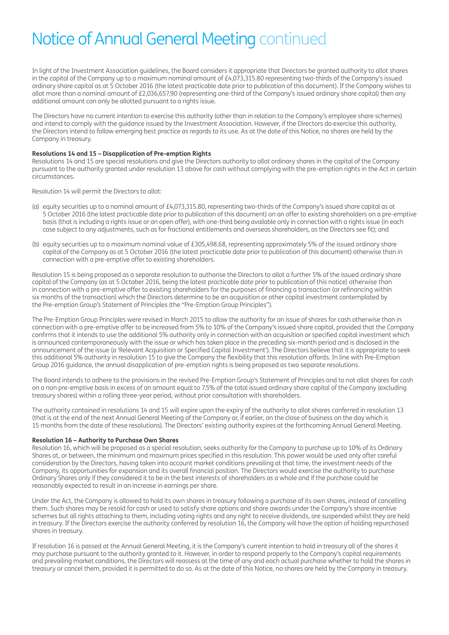In light of the Investment Association guidelines, the Board considers it appropriate that Directors be granted authority to allot shares in the capital of the Company up to a maximum nominal amount of £4,073,315.80 representing two-thirds of the Company's issued ordinary share capital as at 5 October 2016 (the latest practicable date prior to publication of this document). If the Company wishes to allot more than a nominal amount of £2,036,657.90 (representing one-third of the Company's issued ordinary share capital) then any additional amount can only be allotted pursuant to a rights issue.

The Directors have no current intention to exercise this authority (other than in relation to the Company's employee share schemes) and intend to comply with the guidance issued by the Investment Association. However, if the Directors do exercise this authority, the Directors intend to follow emerging best practice as regards to its use. As at the date of this Notice, no shares are held by the Company in treasury.

## **Resolutions 14 and 15 – Disapplication of Pre-emption Rights**

Resolutions 14 and 15 are special resolutions and give the Directors authority to allot ordinary shares in the capital of the Company pursuant to the authority granted under resolution 13 above for cash without complying with the pre-emption rights in the Act in certain circumstances.

Resolution 14 will permit the Directors to allot:

- (a) equity securities up to a nominal amount of £4,073,315.80, representing two-thirds of the Company's issued share capital as at 5 October 2016 (the latest practicable date prior to publication of this document) on an offer to existing shareholders on a pre-emptive basis (that is including a rights issue or an open offer), with one-third being available only in connection with a rights issue (in each case subject to any adjustments, such as for fractional entitlements and overseas shareholders, as the Directors see fit); and
- (b) equity securities up to a maximum nominal value of £305,498.68, representing approximately 5% of the issued ordinary share capital of the Company as at 5 October 2016 (the latest practicable date prior to publication of this document) otherwise than in connection with a pre-emptive offer to existing shareholders.

Resolution 15 is being proposed as a separate resolution to authorise the Directors to allot a further 5% of the issued ordinary share capital of the Company (as at 5 October 2016, being the latest practicable date prior to publication of this notice) otherwise than in connection with a pre-emptive offer to existing shareholders for the purposes of financing a transaction (or refinancing within six months of the transaction) which the Directors determine to be an acquisition or other capital investment contemplated by the Pre-emption Group's Statement of Principles (the "Pre-Emption Group Principles").

The Pre-Emption Group Principles were revised in March 2015 to allow the authority for an issue of shares for cash otherwise than in connection with a pre-emptive offer to be increased from 5% to 10% of the Company's issued share capital, provided that the Company confirms that it intends to use the additional 5% authority only in connection with an acquisition or specified capital investment which is announced contemporaneously with the issue or which has taken place in the preceding six-month period and is disclosed in the announcement of the issue (a 'Relevant Acquisition or Specified Capital Investment'). The Directors believe that it is appropriate to seek this additional 5% authority in resolution 15 to give the Company the flexibility that this resolution affords. In line with Pre-Emption Group 2016 guidance, the annual disapplication of pre-emption rights is being proposed as two separate resolutions.

The Board intends to adhere to the provisions in the revised Pre-Emption Group's Statement of Principles and to not allot shares for cash on a non pre-emptive basis in excess of an amount equal to 7.5% of the total issued ordinary share capital of the Company (excluding treasury shares) within a rolling three-year period, without prior consultation with shareholders.

The authority contained in resolutions 14 and 15 will expire upon the expiry of the authority to allot shares conferred in resolution 13 (that is at the end of the next Annual General Meeting of the Company or, if earlier, on the close of business on the day which is 15 months from the date of these resolutions). The Directors' existing authority expires at the forthcoming Annual General Meeting.

#### **Resolution 16 – Authority to Purchase Own Shares**

Resolution 16, which will be proposed as a special resolution, seeks authority for the Company to purchase up to 10% of its Ordinary Shares at, or between, the minimum and maximum prices specified in this resolution. This power would be used only after careful consideration by the Directors, having taken into account market conditions prevailing at that time, the investment needs of the Company, its opportunities for expansion and its overall financial position. The Directors would exercise the authority to purchase Ordinary Shares only if they considered it to be in the best interests of shareholders as a whole and if the purchase could be reasonably expected to result in an increase in earnings per share.

Under the Act, the Company is allowed to hold its own shares in treasury following a purchase of its own shares, instead of cancelling them. Such shares may be resold for cash or used to satisfy share options and share awards under the Company's share incentive schemes but all rights attaching to them, including voting rights and any right to receive dividends, are suspended whilst they are held in treasury. If the Directors exercise the authority conferred by resolution 16, the Company will have the option of holding repurchased shares in treasury.

If resolution 16 is passed at the Annual General Meeting, it is the Company's current intention to hold in treasury all of the shares it may purchase pursuant to the authority granted to it. However, in order to respond properly to the Company's capital requirements and prevailing market conditions, the Directors will reassess at the time of any and each actual purchase whether to hold the shares in treasury or cancel them, provided it is permitted to do so. As at the date of this Notice, no shares are held by the Company in treasury.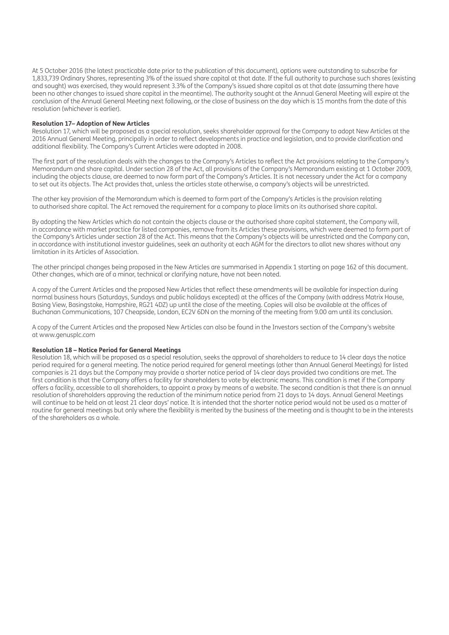At 5 October 2016 (the latest practicable date prior to the publication of this document), options were outstanding to subscribe for 1,833,739 Ordinary Shares, representing 3% of the issued share capital at that date. If the full authority to purchase such shares (existing and sought) was exercised, they would represent 3.3% of the Company's issued share capital as at that date (assuming there have been no other changes to issued share capital in the meantime). The authority sought at the Annual General Meeting will expire at the conclusion of the Annual General Meeting next following, or the close of business on the day which is 15 months from the date of this resolution (whichever is earlier).

### **Resolution 17– Adoption of New Articles**

Resolution 17, which will be proposed as a special resolution, seeks shareholder approval for the Company to adopt New Articles at the 2016 Annual General Meeting, principally in order to reflect developments in practice and legislation, and to provide clarification and additional flexibility. The Company's Current Articles were adopted in 2008.

The first part of the resolution deals with the changes to the Company's Articles to reflect the Act provisions relating to the Company's Memorandum and share capital. Under section 28 of the Act, all provisions of the Company's Memorandum existing at 1 October 2009, including the objects clause, are deemed to now form part of the Company's Articles. It is not necessary under the Act for a company to set out its objects. The Act provides that, unless the articles state otherwise, a company's objects will be unrestricted.

The other key provision of the Memorandum which is deemed to form part of the Company's Articles is the provision relating to authorised share capital. The Act removed the requirement for a company to place limits on its authorised share capital.

By adopting the New Articles which do not contain the objects clause or the authorised share capital statement, the Company will, in accordance with market practice for listed companies, remove from its Articles these provisions, which were deemed to form part of the Company's Articles under section 28 of the Act. This means that the Company's objects will be unrestricted and the Company can, in accordance with institutional investor guidelines, seek an authority at each AGM for the directors to allot new shares without any limitation in its Articles of Association.

The other principal changes being proposed in the New Articles are summarised in Appendix 1 starting on page 162 of this document. Other changes, which are of a minor, technical or clarifying nature, have not been noted.

A copy of the Current Articles and the proposed New Articles that reflect these amendments will be available for inspection during normal business hours (Saturdays, Sundays and public holidays excepted) at the offices of the Company (with address Matrix House, Basing View, Basingstoke, Hampshire, RG21 4DZ) up until the close of the meeting. Copies will also be available at the offices of Buchanan Communications, 107 Cheapside, London, EC2V 6DN on the morning of the meeting from 9.00 am until its conclusion.

A copy of the Current Articles and the proposed New Articles can also be found in the Investors section of the Company's website at www.genusplc.com

## **Resolution 18 – Notice Period for General Meetings**

Resolution 18, which will be proposed as a special resolution, seeks the approval of shareholders to reduce to 14 clear days the notice period required for a general meeting. The notice period required for general meetings (other than Annual General Meetings) for listed companies is 21 days but the Company may provide a shorter notice period of 14 clear days provided two conditions are met. The first condition is that the Company offers a facility for shareholders to vote by electronic means. This condition is met if the Company offers a facility, accessible to all shareholders, to appoint a proxy by means of a website. The second condition is that there is an annual resolution of shareholders approving the reduction of the minimum notice period from 21 days to 14 days. Annual General Meetings will continue to be held on at least 21 clear days' notice. It is intended that the shorter notice period would not be used as a matter of routine for general meetings but only where the flexibility is merited by the business of the meeting and is thought to be in the interests of the shareholders as a whole.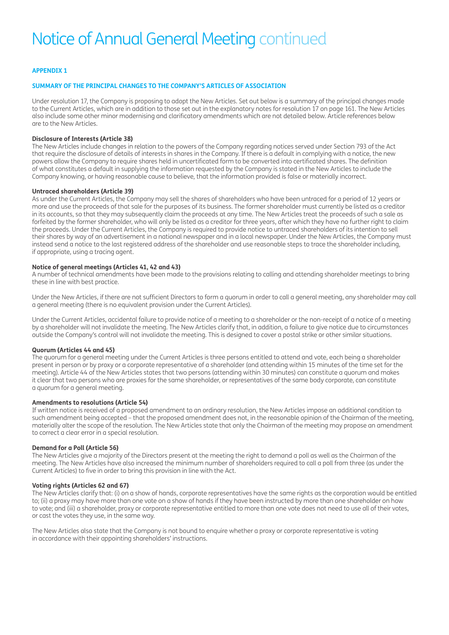# **APPENDIX 1**

## **SUMMARY OF THE PRINCIPAL CHANGES TO THE COMPANY'S ARTICLES OF ASSOCIATION**

Under resolution 17, the Company is proposing to adopt the New Articles. Set out below is a summary of the principal changes made to the Current Articles, which are in addition to those set out in the explanatory notes for resolution 17 on page 161. The New Articles also include some other minor modernising and clarificatory amendments which are not detailed below. Article references below are to the New Articles.

## **Disclosure of Interests (Article 38)**

The New Articles include changes in relation to the powers of the Company regarding notices served under Section 793 of the Act that require the disclosure of details of interests in shares in the Company. If there is a default in complying with a notice, the new powers allow the Company to require shares held in uncertificated form to be converted into certificated shares. The definition of what constitutes a default in supplying the information requested by the Company is stated in the New Articles to include the Company knowing, or having reasonable cause to believe, that the information provided is false or materially incorrect.

### **Untraced shareholders (Article 39)**

As under the Current Articles, the Company may sell the shares of shareholders who have been untraced for a period of 12 years or more and use the proceeds of that sale for the purposes of its business. The former shareholder must currently be listed as a creditor in its accounts, so that they may subsequently claim the proceeds at any time. The New Articles treat the proceeds of such a sale as forfeited by the former shareholder, who will only be listed as a creditor for three years, after which they have no further right to claim the proceeds. Under the Current Articles, the Company is required to provide notice to untraced shareholders of its intention to sell their shares by way of an advertisement in a national newspaper and in a local newspaper. Under the New Articles, the Company must instead send a notice to the last registered address of the shareholder and use reasonable steps to trace the shareholder including, if appropriate, using a tracing agent.

## **Notice of general meetings (Articles 41, 42 and 43)**

A number of technical amendments have been made to the provisions relating to calling and attending shareholder meetings to bring these in line with best practice.

Under the New Articles, if there are not sufficient Directors to form a quorum in order to call a general meeting, any shareholder may call a general meeting (there is no equivalent provision under the Current Articles).

Under the Current Articles, accidental failure to provide notice of a meeting to a shareholder or the non-receipt of a notice of a meeting by a shareholder will not invalidate the meeting. The New Articles clarify that, in addition, a failure to give notice due to circumstances outside the Company's control will not invalidate the meeting. This is designed to cover a postal strike or other similar situations.

## **Quorum (Articles 44 and 45)**

The quorum for a general meeting under the Current Articles is three persons entitled to attend and vote, each being a shareholder present in person or by proxy or a corporate representative of a shareholder (and attending within 15 minutes of the time set for the meeting). Article 44 of the New Articles states that two persons (attending within 30 minutes) can constitute a quorum and makes it clear that two persons who are proxies for the same shareholder, or representatives of the same body corporate, can constitute a quorum for a general meeting.

## **Amendments to resolutions (Article 54)**

If written notice is received of a proposed amendment to an ordinary resolution, the New Articles impose an additional condition to such amendment being accepted – that the proposed amendment does not, in the reasonable opinion of the Chairman of the meeting, materially alter the scope of the resolution. The New Articles state that only the Chairman of the meeting may propose an amendment to correct a clear error in a special resolution.

#### **Demand for a Poll (Article 56)**

The New Articles give a majority of the Directors present at the meeting the right to demand a poll as well as the Chairman of the meeting. The New Articles have also increased the minimum number of shareholders required to call a poll from three (as under the Current Articles) to five in order to bring this provision in line with the Act.

# **Voting rights (Articles 62 and 67)**

The New Articles clarify that: (i) on a show of hands, corporate representatives have the same rights as the corporation would be entitled to; (ii) a proxy may have more than one vote on a show of hands if they have been instructed by more than one shareholder on how to vote; and (iii) a shareholder, proxy or corporate representative entitled to more than one vote does not need to use all of their votes, or cast the votes they use, in the same way.

The New Articles also state that the Company is not bound to enquire whether a proxy or corporate representative is voting in accordance with their appointing shareholders' instructions.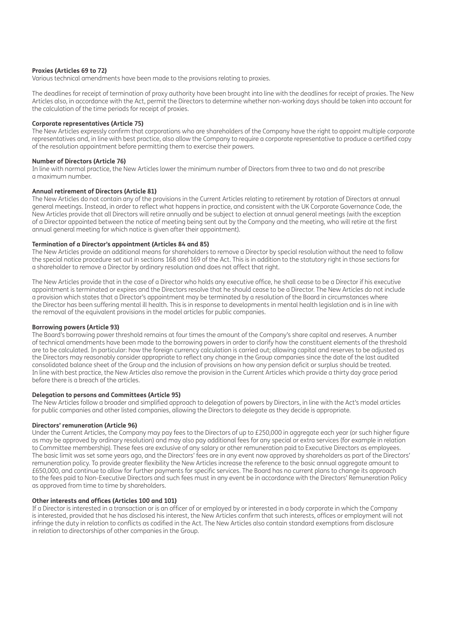### **Proxies (Articles 69 to 72)**

Various technical amendments have been made to the provisions relating to proxies.

The deadlines for receipt of termination of proxy authority have been brought into line with the deadlines for receipt of proxies. The New Articles also, in accordance with the Act, permit the Directors to determine whether non-working days should be taken into account for the calculation of the time periods for receipt of proxies.

### **Corporate representatives (Article 75)**

The New Articles expressly confirm that corporations who are shareholders of the Company have the right to appoint multiple corporate representatives and, in line with best practice, also allow the Company to require a corporate representative to produce a certified copy of the resolution appointment before permitting them to exercise their powers.

### **Number of Directors (Article 76)**

In line with normal practice, the New Articles lower the minimum number of Directors from three to two and do not prescribe a maximum number.

### **Annual retirement of Directors (Article 81)**

The New Articles do not contain any of the provisions in the Current Articles relating to retirement by rotation of Directors at annual general meetings. Instead, in order to reflect what happens in practice, and consistent with the UK Corporate Governance Code, the New Articles provide that all Directors will retire annually and be subject to election at annual general meetings (with the exception of a Director appointed between the notice of meeting being sent out by the Company and the meeting, who will retire at the first annual general meeting for which notice is given after their appointment).

## **Termination of a Director's appointment (Articles 84 and 85)**

The New Articles provide an additional means for shareholders to remove a Director by special resolution without the need to follow the special notice procedure set out in sections 168 and 169 of the Act. This is in addition to the statutory right in those sections for a shareholder to remove a Director by ordinary resolution and does not affect that right.

The New Articles provide that in the case of a Director who holds any executive office, he shall cease to be a Director if his executive appointment is terminated or expires and the Directors resolve that he should cease to be a Director. The New Articles do not include a provision which states that a Director's appointment may be terminated by a resolution of the Board in circumstances where the Director has been suffering mental ill health. This is in response to developments in mental health legislation and is in line with the removal of the equivalent provisions in the model articles for public companies.

#### **Borrowing powers (Article 93)**

The Board's borrowing power threshold remains at four times the amount of the Company's share capital and reserves. A number of technical amendments have been made to the borrowing powers in order to clarify how the constituent elements of the threshold are to be calculated. In particular: how the foreign currency calculation is carried out; allowing capital and reserves to be adjusted as the Directors may reasonably consider appropriate to reflect any change in the Group companies since the date of the last audited consolidated balance sheet of the Group and the inclusion of provisions on how any pension deficit or surplus should be treated. In line with best practice, the New Articles also remove the provision in the Current Articles which provide a thirty day grace period before there is a breach of the articles.

#### **Delegation to persons and Committees (Article 95)**

The New Articles follow a broader and simplified approach to delegation of powers by Directors, in line with the Act's model articles for public companies and other listed companies, allowing the Directors to delegate as they decide is appropriate.

### **Directors' remuneration (Article 96)**

Under the Current Articles, the Company may pay fees to the Directors of up to £250,000 in aggregate each year (or such higher figure as may be approved by ordinary resolution) and may also pay additional fees for any special or extra services (for example in relation to Committee membership). These fees are exclusive of any salary or other remuneration paid to Executive Directors as employees. The basic limit was set some years ago, and the Directors' fees are in any event now approved by shareholders as part of the Directors' remuneration policy. To provide greater flexibility the New Articles increase the reference to the basic annual aggregate amount to £650,000, and continue to allow for further payments for specific services. The Board has no current plans to change its approach to the fees paid to Non-Executive Directors and such fees must in any event be in accordance with the Directors' Remuneration Policy as approved from time to time by shareholders.

#### **Other interests and offices (Articles 100 and 101)**

If a Director is interested in a transaction or is an officer of or employed by or interested in a body corporate in which the Company is interested, provided that he has disclosed his interest, the New Articles confirm that such interests, offices or employment will not infringe the duty in relation to conflicts as codified in the Act. The New Articles also contain standard exemptions from disclosure in relation to directorships of other companies in the Group.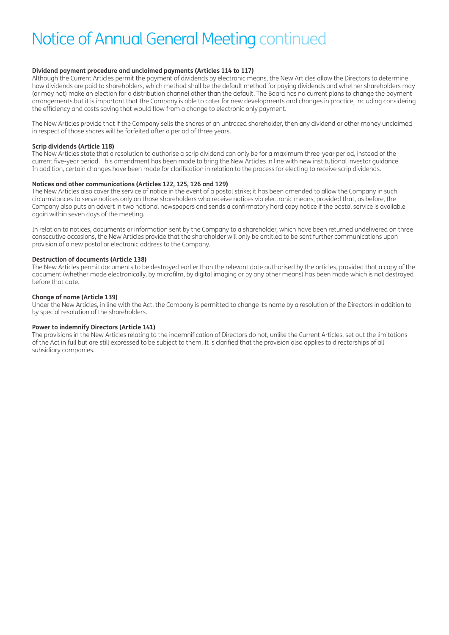## **Dividend payment procedure and unclaimed payments (Articles 114 to 117)**

Although the Current Articles permit the payment of dividends by electronic means, the New Articles allow the Directors to determine how dividends are paid to shareholders, which method shall be the default method for paying dividends and whether shareholders may (or may not) make an election for a distribution channel other than the default. The Board has no current plans to change the payment arrangements but it is important that the Company is able to cater for new developments and changes in practice, including considering the efficiency and costs saving that would flow from a change to electronic only payment.

The New Articles provide that if the Company sells the shares of an untraced shareholder, then any dividend or other money unclaimed in respect of those shares will be forfeited after a period of three years.

## **Scrip dividends (Article 118)**

The New Articles state that a resolution to authorise a scrip dividend can only be for a maximum three-year period, instead of the current five-year period. This amendment has been made to bring the New Articles in line with new institutional investor guidance. In addition, certain changes have been made for clarification in relation to the process for electing to receive scrip dividends.

## **Notices and other communications (Articles 122, 125, 126 and 129)**

The New Articles also cover the service of notice in the event of a postal strike; it has been amended to allow the Company in such circumstances to serve notices only on those shareholders who receive notices via electronic means, provided that, as before, the Company also puts an advert in two national newspapers and sends a confirmatory hard copy notice if the postal service is available again within seven days of the meeting.

In relation to notices, documents or information sent by the Company to a shareholder, which have been returned undelivered on three consecutive occasions, the New Articles provide that the shareholder will only be entitled to be sent further communications upon provision of a new postal or electronic address to the Company.

## **Destruction of documents (Article 138)**

The New Articles permit documents to be destroyed earlier than the relevant date authorised by the articles, provided that a copy of the document (whether made electronically, by microfilm, by digital imaging or by any other means) has been made which is not destroyed before that date.

# **Change of name (Article 139)**

Under the New Articles, in line with the Act, the Company is permitted to change its name by a resolution of the Directors in addition to by special resolution of the shareholders.

## **Power to indemnify Directors (Article 141)**

The provisions in the New Articles relating to the indemnification of Directors do not, unlike the Current Articles, set out the limitations of the Act in full but are still expressed to be subject to them. It is clarified that the provision also applies to directorships of all subsidiary companies.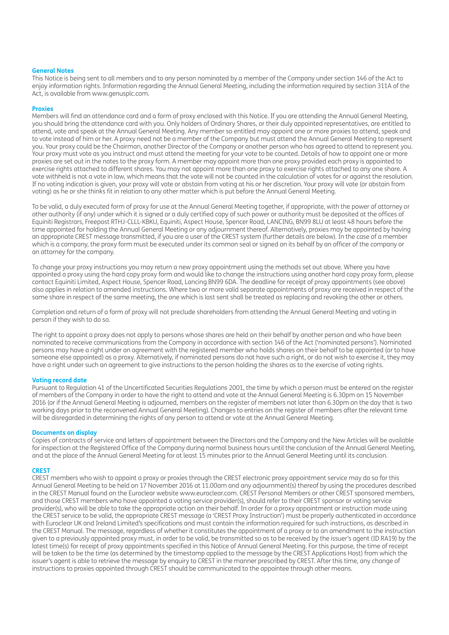### **General Notes**

This Notice is being sent to all members and to any person nominated by a member of the Company under section 146 of the Act to enjoy information rights. Information regarding the Annual General Meeting, including the information required by section 311A of the Act, is available from www.genusplc.com.

### **Proxies**

Members will find an attendance card and a form of proxy enclosed with this Notice. If you are attending the Annual General Meeting, you should bring the attendance card with you. Only holders of Ordinary Shares, or their duly appointed representatives, are entitled to attend, vote and speak at the Annual General Meeting. Any member so entitled may appoint one or more proxies to attend, speak and to vote instead of him or her. A proxy need not be a member of the Company but must attend the Annual General Meeting to represent you. Your proxy could be the Chairman, another Director of the Company or another person who has agreed to attend to represent you. Your proxy must vote as you instruct and must attend the meeting for your vote to be counted. Details of how to appoint one or more proxies are set out in the notes to the proxy form. A member may appoint more than one proxy provided each proxy is appointed to exercise rights attached to different shares. You may not appoint more than one proxy to exercise rights attached to any one share. A vote withheld is not a vote in law, which means that the vote will not be counted in the calculation of votes for or against the resolution. If no voting indication is given, your proxy will vote or abstain from voting at his or her discretion. Your proxy will vote (or abstain from voting) as he or she thinks fit in relation to any other matter which is put before the Annual General Meeting.

To be valid, a duly executed form of proxy for use at the Annual General Meeting together, if appropriate, with the power of attorney or other authority (if any) under which it is signed or a duly certified copy of such power or authority must be deposited at the offices of Equiniti Registrars, Freepost RTHJ-CLLL-KBKU, Equiniti, Aspect House, Spencer Road, LANCING, BN99 8LU at least 48 hours before the time appointed for holding the Annual General Meeting or any adjournment thereof. Alternatively, proxies may be appointed by having an appropriate CREST message transmitted, if you are a user of the CREST system (further details are below). In the case of a member which is a company, the proxy form must be executed under its common seal or signed on its behalf by an officer of the company or an attorney for the company.

To change your proxy instructions you may return a new proxy appointment using the methods set out above. Where you have appointed a proxy using the hard copy proxy form and would like to change the instructions using another hard copy proxy form, please contact Equiniti Limited, Aspect House, Spencer Road, Lancing BN99 6DA. The deadline for receipt of proxy appointments (see above) also applies in relation to amended instructions. Where two or more valid separate appointments of proxy are received in respect of the same share in respect of the same meeting, the one which is last sent shall be treated as replacing and revoking the other or others.

Completion and return of a form of proxy will not preclude shareholders from attending the Annual General Meeting and voting in person if they wish to do so.

The right to appoint a proxy does not apply to persons whose shares are held on their behalf by another person and who have been nominated to receive communications from the Company in accordance with section 146 of the Act ('nominated persons'). Nominated persons may have a right under an agreement with the registered member who holds shares on their behalf to be appointed (or to have someone else appointed) as a proxy. Alternatively, if nominated persons do not have such a right, or do not wish to exercise it, they may have a right under such an agreement to give instructions to the person holding the shares as to the exercise of voting rights.

# **Voting record date**

Pursuant to Regulation 41 of the Uncertificated Securities Regulations 2001, the time by which a person must be entered on the register of members of the Company in order to have the right to attend and vote at the Annual General Meeting is 6.30pm on 15 November 2016 (or if the Annual General Meeting is adjourned, members on the register of members not later than 6.30pm on the day that is two working days prior to the reconvened Annual General Meeting). Changes to entries on the register of members after the relevant time will be disregarded in determining the rights of any person to attend or vote at the Annual General Meeting.

## **Documents on display**

Copies of contracts of service and letters of appointment between the Directors and the Company and the New Articles will be available for inspection at the Registered Office of the Company during normal business hours until the conclusion of the Annual General Meeting, and at the place of the Annual General Meeting for at least 15 minutes prior to the Annual General Meeting until its conclusion.

#### **CREST**

CREST members who wish to appoint a proxy or proxies through the CREST electronic proxy appointment service may do so for this Annual General Meeting to be held on 17 November 2016 at 11.00am and any adjournment(s) thereof by using the procedures described in the CREST Manual found on the Euroclear website www.euroclear.com. CREST Personal Members or other CREST sponsored members, and those CREST members who have appointed a voting service provider(s), should refer to their CREST sponsor or voting service provider(s), who will be able to take the appropriate action on their behalf. In order for a proxy appointment or instruction made using the CREST service to be valid, the appropriate CREST message (a 'CREST Proxy Instruction') must be properly authenticated in accordance with Euroclear UK and Ireland Limited's specifications and must contain the information required for such instructions, as described in the CREST Manual. The message, regardless of whether it constitutes the appointment of a proxy or to an amendment to the instruction given to a previously appointed proxy must, in order to be valid, be transmitted so as to be received by the issuer's agent (ID RA19) by the latest time(s) for receipt of proxy appointments specified in this Notice of Annual General Meeting. For this purpose, the time of receipt will be taken to be the time (as determined by the timestamp applied to the message by the CREST Applications Host) from which the issuer's agent is able to retrieve the message by enquiry to CREST in the manner prescribed by CREST. After this time, any change of instructions to proxies appointed through CREST should be communicated to the appointee through other means.